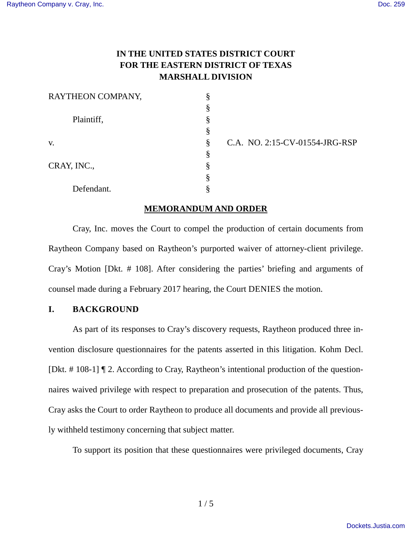# **IN THE UNITED STATES DISTRICT COURT FOR THE EASTERN DISTRICT OF TEXAS MARSHALL DIVISION**

| RAYTHEON COMPANY, |   |
|-------------------|---|
|                   | ş |
| Plaintiff,        | ş |
|                   | § |
| V.                | ş |
|                   | ş |
| CRAY, INC.,       | 8 |
|                   | ş |
| Defendant.        |   |

C.A. NO. 2:15-CV-01554-JRG-RSP

## **MEMORANDUM AND ORDER**

Cray, Inc. moves the Court to compel the production of certain documents from Raytheon Company based on Raytheon's purported waiver of attorney-client privilege. Cray's Motion [Dkt. # 108]. After considering the parties' briefing and arguments of counsel made during a February 2017 hearing, the Court DENIES the motion.

# **I. BACKGROUND**

As part of its responses to Cray's discovery requests, Raytheon produced three invention disclosure questionnaires for the patents asserted in this litigation. Kohm Decl. [Dkt. # 108-1] ¶ 2. According to Cray, Raytheon's intentional production of the questionnaires waived privilege with respect to preparation and prosecution of the patents. Thus, Cray asks the Court to order Raytheon to produce all documents and provide all previously withheld testimony concerning that subject matter.

To support its position that these questionnaires were privileged documents, Cray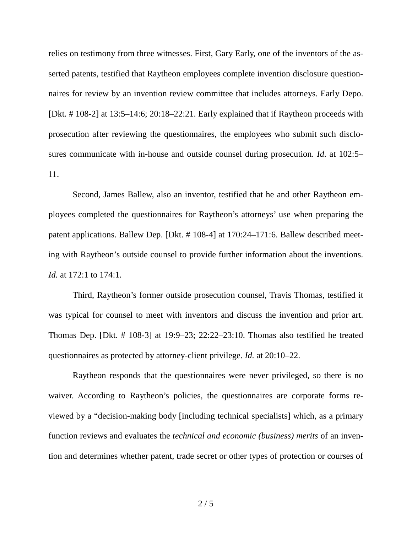relies on testimony from three witnesses. First, Gary Early, one of the inventors of the asserted patents, testified that Raytheon employees complete invention disclosure questionnaires for review by an invention review committee that includes attorneys. Early Depo. [Dkt. # 108-2] at 13:5–14:6; 20:18–22:21. Early explained that if Raytheon proceeds with prosecution after reviewing the questionnaires, the employees who submit such disclosures communicate with in-house and outside counsel during prosecution. *Id*. at 102:5– 11.

Second, James Ballew, also an inventor, testified that he and other Raytheon employees completed the questionnaires for Raytheon's attorneys' use when preparing the patent applications. Ballew Dep. [Dkt. # 108-4] at 170:24–171:6. Ballew described meeting with Raytheon's outside counsel to provide further information about the inventions. *Id.* at 172:1 to 174:1.

Third, Raytheon's former outside prosecution counsel, Travis Thomas, testified it was typical for counsel to meet with inventors and discuss the invention and prior art. Thomas Dep. [Dkt. # 108-3] at 19:9–23; 22:22–23:10. Thomas also testified he treated questionnaires as protected by attorney-client privilege. *Id.* at 20:10–22.

Raytheon responds that the questionnaires were never privileged, so there is no waiver. According to Raytheon's policies, the questionnaires are corporate forms reviewed by a "decision-making body [including technical specialists] which, as a primary function reviews and evaluates the *technical and economic (business) merits* of an invention and determines whether patent, trade secret or other types of protection or courses of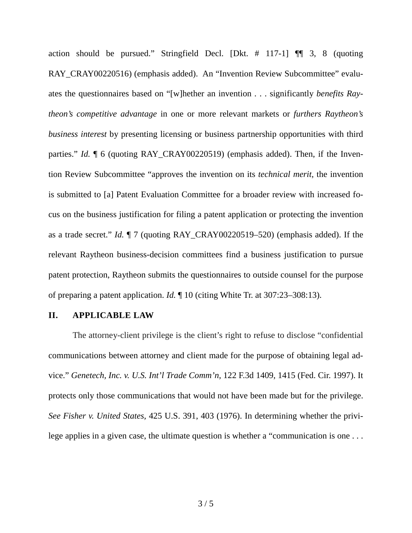action should be pursued." Stringfield Decl. [Dkt. # 117-1] ¶¶ 3, 8 (quoting RAY\_CRAY00220516) (emphasis added). An "Invention Review Subcommittee" evaluates the questionnaires based on "[w]hether an invention . . . significantly *benefits Raytheon's competitive advantage* in one or more relevant markets or *furthers Raytheon's business interest* by presenting licensing or business partnership opportunities with third parties." *Id.*  $\parallel$  6 (quoting RAY\_CRAY00220519) (emphasis added). Then, if the Invention Review Subcommittee "approves the invention on its *technical merit*, the invention is submitted to [a] Patent Evaluation Committee for a broader review with increased focus on the business justification for filing a patent application or protecting the invention as a trade secret." *Id.* ¶ 7 (quoting RAY\_CRAY00220519–520) (emphasis added). If the relevant Raytheon business-decision committees find a business justification to pursue patent protection, Raytheon submits the questionnaires to outside counsel for the purpose of preparing a patent application. *Id.* ¶ 10 (citing White Tr. at 307:23–308:13).

#### **II. APPLICABLE LAW**

The attorney-client privilege is the client's right to refuse to disclose "confidential communications between attorney and client made for the purpose of obtaining legal advice." *Genetech, Inc. v. U.S. Int'l Trade Comm'n,* 122 F.3d 1409, 1415 (Fed. Cir. 1997). It protects only those communications that would not have been made but for the privilege. *See Fisher v. United States,* 425 U.S. 391, 403 (1976). In determining whether the privilege applies in a given case, the ultimate question is whether a "communication is one . . .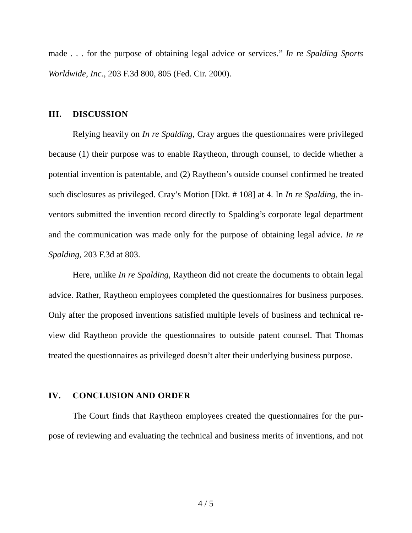made . . . for the purpose of obtaining legal advice or services." *In re Spalding Sports Worldwide, Inc.,* 203 F.3d 800, 805 (Fed. Cir. 2000).

## **III. DISCUSSION**

Relying heavily on *In re Spalding*, Cray argues the questionnaires were privileged because (1) their purpose was to enable Raytheon, through counsel, to decide whether a potential invention is patentable, and (2) Raytheon's outside counsel confirmed he treated such disclosures as privileged. Cray's Motion [Dkt. # 108] at 4. In *In re Spalding*, the inventors submitted the invention record directly to Spalding's corporate legal department and the communication was made only for the purpose of obtaining legal advice. *In re Spalding*, 203 F.3d at 803.

Here, unlike *In re Spalding*, Raytheon did not create the documents to obtain legal advice. Rather, Raytheon employees completed the questionnaires for business purposes. Only after the proposed inventions satisfied multiple levels of business and technical review did Raytheon provide the questionnaires to outside patent counsel. That Thomas treated the questionnaires as privileged doesn't alter their underlying business purpose.

## **IV. CONCLUSION AND ORDER**

The Court finds that Raytheon employees created the questionnaires for the purpose of reviewing and evaluating the technical and business merits of inventions, and not